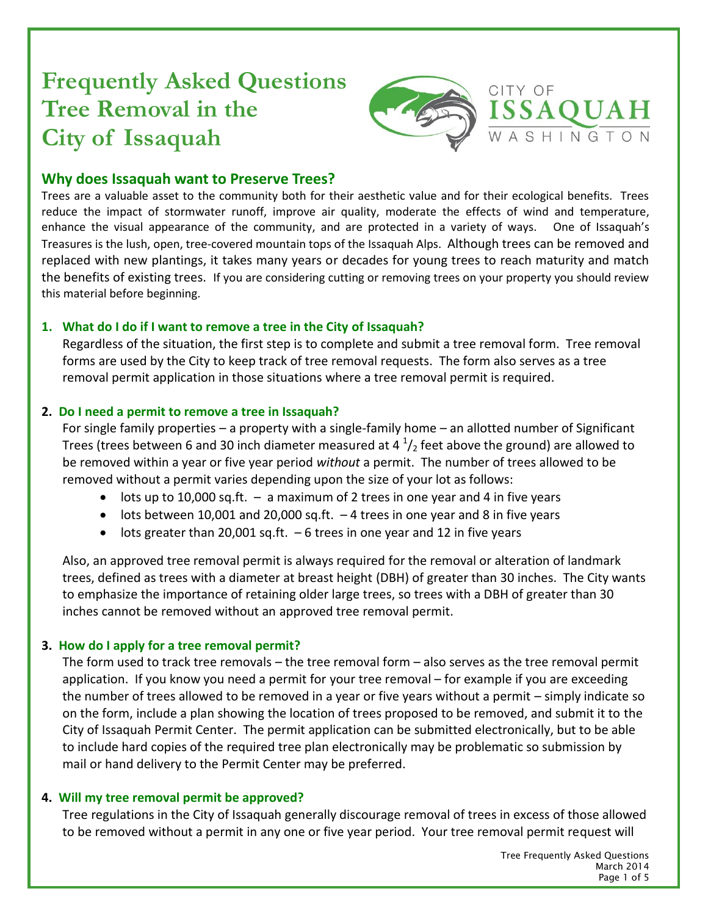# **Frequently Asked Questions Tree Removal in the City of Issaquah**



# **Why does Issaquah want to Preserve Trees?**

Trees are a valuable asset to the community both for their aesthetic value and for their ecological benefits. Trees reduce the impact of stormwater runoff, improve air quality, moderate the effects of wind and temperature, enhance the visual appearance of the community, and are protected in a variety of ways. One of Issaquah's Treasures is the lush, open, tree-covered mountain tops of the Issaquah Alps. Although trees can be removed and replaced with new plantings, it takes many years or decades for young trees to reach maturity and match the benefits of existing trees. If you are considering cutting or removing trees on your property you should review this material before beginning.

## **1. What do I do if I want to remove a tree in the City of Issaquah?**

Regardless of the situation, the first step is to complete and submit a tree removal form. Tree removal forms are used by the City to keep track of tree removal requests. The form also serves as a tree removal permit application in those situations where a tree removal permit is required.

## **2. Do I need a permit to remove a tree in Issaquah?**

For single family properties – a property with a single-family home – an allotted number of Significant Trees (trees between 6 and 30 inch diameter measured at 4  $\frac{1}{2}$  feet above the ground) are allowed to be removed within a year or five year period *without* a permit. The number of trees allowed to be removed without a permit varies depending upon the size of your lot as follows:

- $\bullet$  lots up to 10,000 sq.ft.  $-$  a maximum of 2 trees in one year and 4 in five years
- $\bullet$  lots between 10,001 and 20,000 sq.ft.  $-4$  trees in one year and 8 in five years
- lots greater than 20,001 sq.ft. 6 trees in one year and 12 in five years

Also, an approved tree removal permit is always required for the removal or alteration of landmark trees, defined as trees with a diameter at breast height (DBH) of greater than 30 inches. The City wants to emphasize the importance of retaining older large trees, so trees with a DBH of greater than 30 inches cannot be removed without an approved tree removal permit.

## **3. How do I apply for a tree removal permit?**

The form used to track tree removals – the tree removal form – also serves as the tree removal permit application. If you know you need a permit for your tree removal – for example if you are exceeding the number of trees allowed to be removed in a year or five years without a permit – simply indicate so on the form, include a plan showing the location of trees proposed to be removed, and submit it to the City of Issaquah Permit Center. The permit application can be submitted electronically, but to be able to include hard copies of the required tree plan electronically may be problematic so submission by mail or hand delivery to the Permit Center may be preferred.

## **4. Will my tree removal permit be approved?**

Tree regulations in the City of Issaquah generally discourage removal of trees in excess of those allowed to be removed without a permit in any one or five year period. Your tree removal permit request will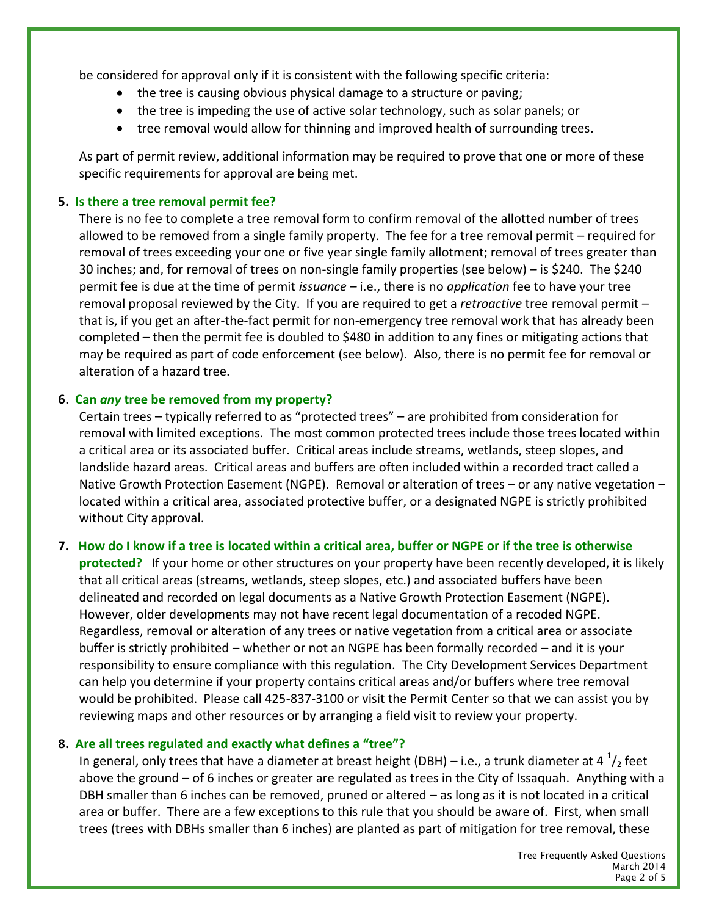be considered for approval only if it is consistent with the following specific criteria:

- the tree is causing obvious physical damage to a structure or paving;
- the tree is impeding the use of active solar technology, such as solar panels; or
- tree removal would allow for thinning and improved health of surrounding trees.

As part of permit review, additional information may be required to prove that one or more of these specific requirements for approval are being met.

# **5. Is there a tree removal permit fee?**

There is no fee to complete a tree removal form to confirm removal of the allotted number of trees allowed to be removed from a single family property. The fee for a tree removal permit – required for removal of trees exceeding your one or five year single family allotment; removal of trees greater than 30 inches; and, for removal of trees on non-single family properties (see below) – is \$240. The \$240 permit fee is due at the time of permit *issuance* – i.e., there is no *application* fee to have your tree removal proposal reviewed by the City. If you are required to get a *retroactive* tree removal permit – that is, if you get an after-the-fact permit for non-emergency tree removal work that has already been completed – then the permit fee is doubled to \$480 in addition to any fines or mitigating actions that may be required as part of code enforcement (see below). Also, there is no permit fee for removal or alteration of a hazard tree.

# **6**. **Can** *any* **tree be removed from my property?**

Certain trees – typically referred to as "protected trees" – are prohibited from consideration for removal with limited exceptions. The most common protected trees include those trees located within a critical area or its associated buffer. Critical areas include streams, wetlands, steep slopes, and landslide hazard areas. Critical areas and buffers are often included within a recorded tract called a Native Growth Protection Easement (NGPE). Removal or alteration of trees – or any native vegetation – located within a critical area, associated protective buffer, or a designated NGPE is strictly prohibited without City approval.

#### **7. How do I know if a tree is located within a critical area, buffer or NGPE or if the tree is otherwise protected?** If your home or other structures on your property have been recently developed, it is likely

that all critical areas (streams, wetlands, steep slopes, etc.) and associated buffers have been delineated and recorded on legal documents as a Native Growth Protection Easement (NGPE). However, older developments may not have recent legal documentation of a recoded NGPE. Regardless, removal or alteration of any trees or native vegetation from a critical area or associate buffer is strictly prohibited – whether or not an NGPE has been formally recorded – and it is your responsibility to ensure compliance with this regulation. The City Development Services Department can help you determine if your property contains critical areas and/or buffers where tree removal would be prohibited. Please call 425-837-3100 or visit the Permit Center so that we can assist you by reviewing maps and other resources or by arranging a field visit to review your property.

# **8. Are all trees regulated and exactly what defines a "tree"?**

In general, only trees that have a diameter at breast height (DBH) – i.e., a trunk diameter at 4  $\frac{1}{2}$  feet above the ground – of 6 inches or greater are regulated as trees in the City of Issaquah. Anything with a DBH smaller than 6 inches can be removed, pruned or altered – as long as it is not located in a critical area or buffer. There are a few exceptions to this rule that you should be aware of. First, when small trees (trees with DBHs smaller than 6 inches) are planted as part of mitigation for tree removal, these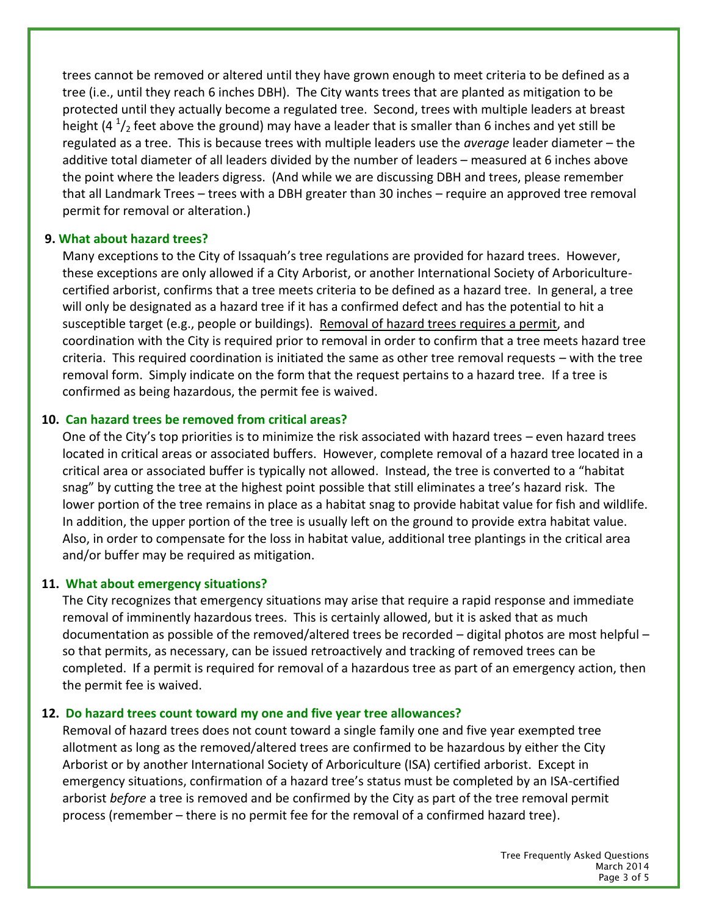trees cannot be removed or altered until they have grown enough to meet criteria to be defined as a tree (i.e., until they reach 6 inches DBH). The City wants trees that are planted as mitigation to be protected until they actually become a regulated tree. Second, trees with multiple leaders at breast height (4  $\frac{1}{2}$  feet above the ground) may have a leader that is smaller than 6 inches and yet still be regulated as a tree. This is because trees with multiple leaders use the *average* leader diameter – the additive total diameter of all leaders divided by the number of leaders – measured at 6 inches above the point where the leaders digress. (And while we are discussing DBH and trees, please remember that all Landmark Trees – trees with a DBH greater than 30 inches – require an approved tree removal permit for removal or alteration.)

## **9. What about hazard trees?**

Many exceptions to the City of Issaquah's tree regulations are provided for hazard trees. However, these exceptions are only allowed if a City Arborist, or another International Society of Arboriculturecertified arborist, confirms that a tree meets criteria to be defined as a hazard tree. In general, a tree will only be designated as a hazard tree if it has a confirmed defect and has the potential to hit a susceptible target (e.g., people or buildings). Removal of hazard trees requires a permit, and coordination with the City is required prior to removal in order to confirm that a tree meets hazard tree criteria. This required coordination is initiated the same as other tree removal requests – with the tree removal form. Simply indicate on the form that the request pertains to a hazard tree. If a tree is confirmed as being hazardous, the permit fee is waived.

## **10. Can hazard trees be removed from critical areas?**

One of the City's top priorities is to minimize the risk associated with hazard trees – even hazard trees located in critical areas or associated buffers. However, complete removal of a hazard tree located in a critical area or associated buffer is typically not allowed. Instead, the tree is converted to a "habitat snag" by cutting the tree at the highest point possible that still eliminates a tree's hazard risk. The lower portion of the tree remains in place as a habitat snag to provide habitat value for fish and wildlife. In addition, the upper portion of the tree is usually left on the ground to provide extra habitat value. Also, in order to compensate for the loss in habitat value, additional tree plantings in the critical area and/or buffer may be required as mitigation.

## **11. What about emergency situations?**

The City recognizes that emergency situations may arise that require a rapid response and immediate removal of imminently hazardous trees. This is certainly allowed, but it is asked that as much documentation as possible of the removed/altered trees be recorded – digital photos are most helpful – so that permits, as necessary, can be issued retroactively and tracking of removed trees can be completed. If a permit is required for removal of a hazardous tree as part of an emergency action, then the permit fee is waived.

## **12. Do hazard trees count toward my one and five year tree allowances?**

Removal of hazard trees does not count toward a single family one and five year exempted tree allotment as long as the removed/altered trees are confirmed to be hazardous by either the City Arborist or by another International Society of Arboriculture (ISA) certified arborist. Except in emergency situations, confirmation of a hazard tree's status must be completed by an ISA-certified arborist *before* a tree is removed and be confirmed by the City as part of the tree removal permit process (remember – there is no permit fee for the removal of a confirmed hazard tree).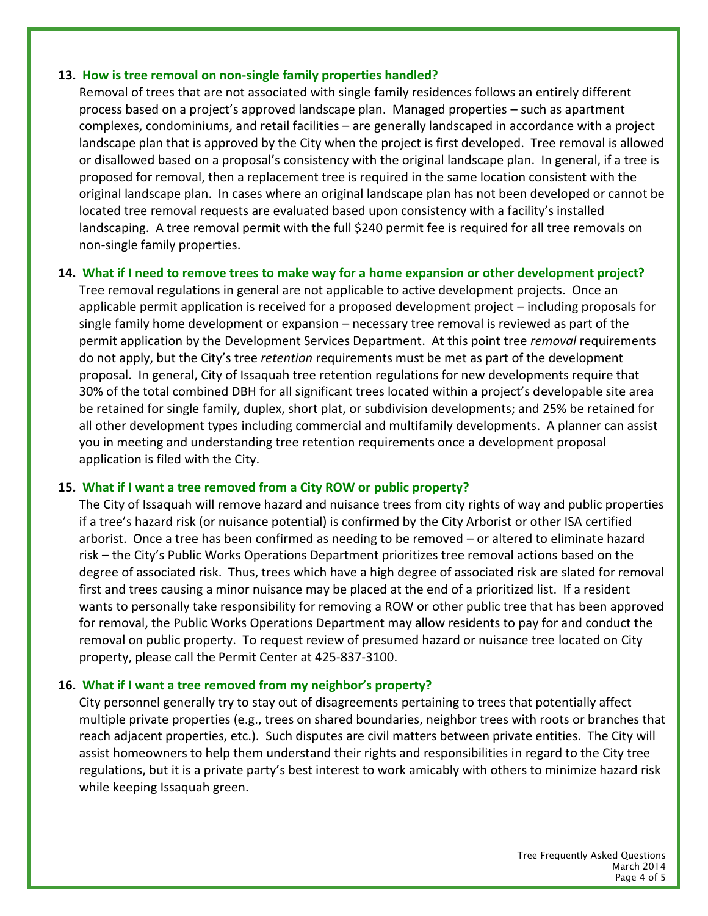#### **13. How is tree removal on non-single family properties handled?**

Removal of trees that are not associated with single family residences follows an entirely different process based on a project's approved landscape plan. Managed properties – such as apartment complexes, condominiums, and retail facilities – are generally landscaped in accordance with a project landscape plan that is approved by the City when the project is first developed. Tree removal is allowed or disallowed based on a proposal's consistency with the original landscape plan. In general, if a tree is proposed for removal, then a replacement tree is required in the same location consistent with the original landscape plan. In cases where an original landscape plan has not been developed or cannot be located tree removal requests are evaluated based upon consistency with a facility's installed landscaping. A tree removal permit with the full \$240 permit fee is required for all tree removals on non-single family properties.

#### **14. What if I need to remove trees to make way for a home expansion or other development project?**

Tree removal regulations in general are not applicable to active development projects. Once an applicable permit application is received for a proposed development project – including proposals for single family home development or expansion – necessary tree removal is reviewed as part of the permit application by the Development Services Department. At this point tree *removal* requirements do not apply, but the City's tree *retention* requirements must be met as part of the development proposal. In general, City of Issaquah tree retention regulations for new developments require that 30% of the total combined DBH for all significant trees located within a project's developable site area be retained for single family, duplex, short plat, or subdivision developments; and 25% be retained for all other development types including commercial and multifamily developments. A planner can assist you in meeting and understanding tree retention requirements once a development proposal application is filed with the City.

## **15. What if I want a tree removed from a City ROW or public property?**

The City of Issaquah will remove hazard and nuisance trees from city rights of way and public properties if a tree's hazard risk (or nuisance potential) is confirmed by the City Arborist or other ISA certified arborist. Once a tree has been confirmed as needing to be removed – or altered to eliminate hazard risk – the City's Public Works Operations Department prioritizes tree removal actions based on the degree of associated risk. Thus, trees which have a high degree of associated risk are slated for removal first and trees causing a minor nuisance may be placed at the end of a prioritized list. If a resident wants to personally take responsibility for removing a ROW or other public tree that has been approved for removal, the Public Works Operations Department may allow residents to pay for and conduct the removal on public property. To request review of presumed hazard or nuisance tree located on City property, please call the Permit Center at 425-837-3100.

## **16. What if I want a tree removed from my neighbor's property?**

City personnel generally try to stay out of disagreements pertaining to trees that potentially affect multiple private properties (e.g., trees on shared boundaries, neighbor trees with roots or branches that reach adjacent properties, etc.). Such disputes are civil matters between private entities. The City will assist homeowners to help them understand their rights and responsibilities in regard to the City tree regulations, but it is a private party's best interest to work amicably with others to minimize hazard risk while keeping Issaquah green.